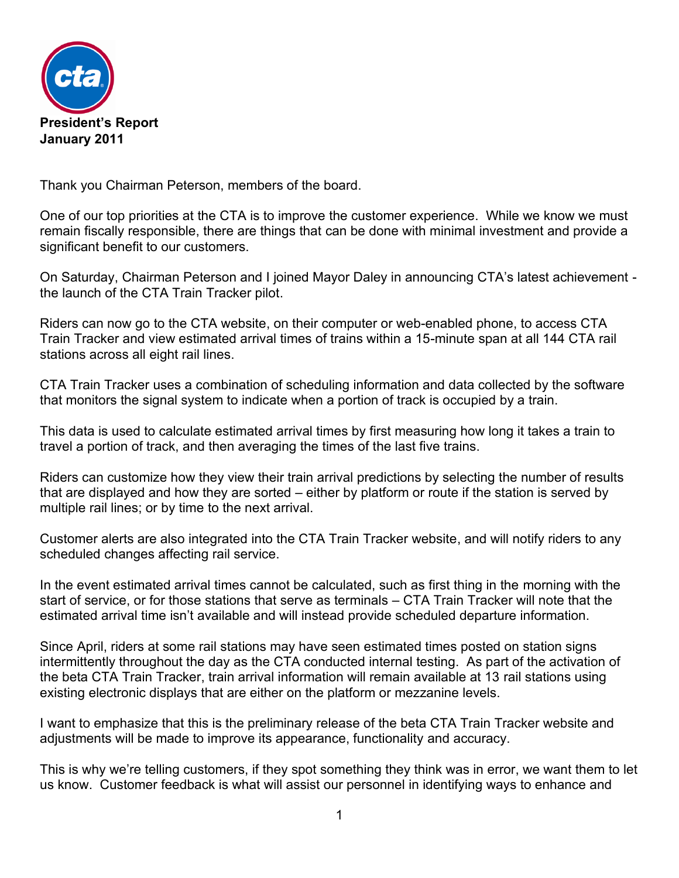

Thank you Chairman Peterson, members of the board.

One of our top priorities at the CTA is to improve the customer experience. While we know we must remain fiscally responsible, there are things that can be done with minimal investment and provide a significant benefit to our customers.

On Saturday, Chairman Peterson and I joined Mayor Daley in announcing CTA's latest achievement the launch of the CTA Train Tracker pilot.

Riders can now go to the CTA website, on their computer or web-enabled phone, to access CTA Train Tracker and view estimated arrival times of trains within a 15-minute span at all 144 CTA rail stations across all eight rail lines.

CTA Train Tracker uses a combination of scheduling information and data collected by the software that monitors the signal system to indicate when a portion of track is occupied by a train.

This data is used to calculate estimated arrival times by first measuring how long it takes a train to travel a portion of track, and then averaging the times of the last five trains.

Riders can customize how they view their train arrival predictions by selecting the number of results that are displayed and how they are sorted – either by platform or route if the station is served by multiple rail lines; or by time to the next arrival.

Customer alerts are also integrated into the CTA Train Tracker website, and will notify riders to any scheduled changes affecting rail service.

In the event estimated arrival times cannot be calculated, such as first thing in the morning with the start of service, or for those stations that serve as terminals – CTA Train Tracker will note that the estimated arrival time isn't available and will instead provide scheduled departure information.

Since April, riders at some rail stations may have seen estimated times posted on station signs intermittently throughout the day as the CTA conducted internal testing. As part of the activation of the beta CTA Train Tracker, train arrival information will remain available at 13 rail stations using existing electronic displays that are either on the platform or mezzanine levels.

I want to emphasize that this is the preliminary release of the beta CTA Train Tracker website and adjustments will be made to improve its appearance, functionality and accuracy.

This is why we're telling customers, if they spot something they think was in error, we want them to let us know. Customer feedback is what will assist our personnel in identifying ways to enhance and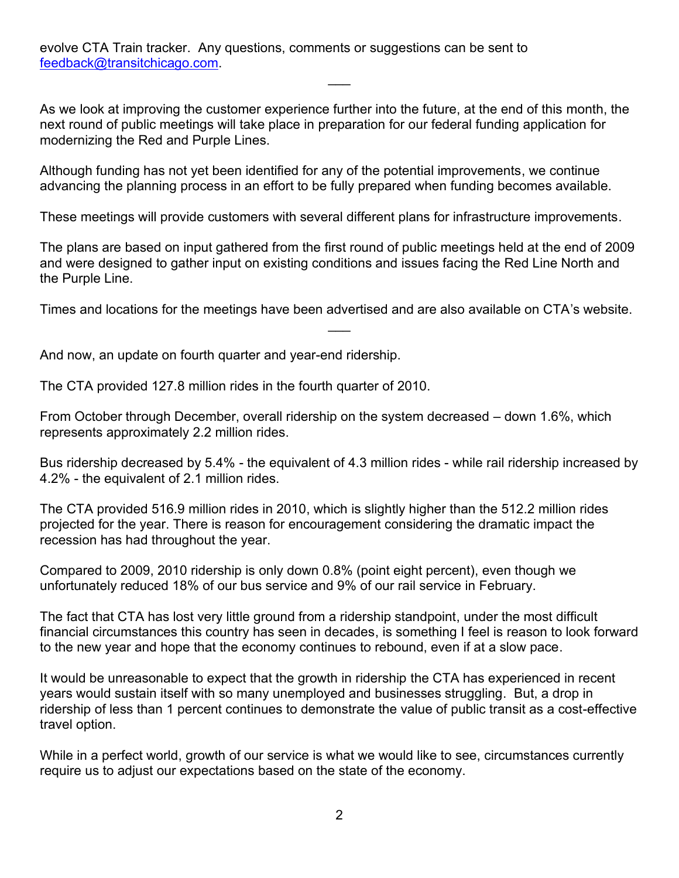evolve CTA Train tracker. Any questions, comments or suggestions can be sent to [feedback@transitchicago.com.](mailto:feedback@transitchicago.com)

As we look at improving the customer experience further into the future, at the end of this month, the next round of public meetings will take place in preparation for our federal funding application for modernizing the Red and Purple Lines.

 $\overline{\phantom{a}}$ 

Although funding has not yet been identified for any of the potential improvements, we continue advancing the planning process in an effort to be fully prepared when funding becomes available.

These meetings will provide customers with several different plans for infrastructure improvements.

The plans are based on input gathered from the first round of public meetings held at the end of 2009 and were designed to gather input on existing conditions and issues facing the Red Line North and the Purple Line.

Times and locations for the meetings have been advertised and are also available on CTA's website.  $\overline{\phantom{a}}$ 

And now, an update on fourth quarter and year-end ridership.

The CTA provided 127.8 million rides in the fourth quarter of 2010.

From October through December, overall ridership on the system decreased – down 1.6%, which represents approximately 2.2 million rides.

Bus ridership decreased by 5.4% - the equivalent of 4.3 million rides - while rail ridership increased by 4.2% - the equivalent of 2.1 million rides.

The CTA provided 516.9 million rides in 2010, which is slightly higher than the 512.2 million rides projected for the year. There is reason for encouragement considering the dramatic impact the recession has had throughout the year.

Compared to 2009, 2010 ridership is only down 0.8% (point eight percent), even though we unfortunately reduced 18% of our bus service and 9% of our rail service in February.

The fact that CTA has lost very little ground from a ridership standpoint, under the most difficult financial circumstances this country has seen in decades, is something I feel is reason to look forward to the new year and hope that the economy continues to rebound, even if at a slow pace.

It would be unreasonable to expect that the growth in ridership the CTA has experienced in recent years would sustain itself with so many unemployed and businesses struggling. But, a drop in ridership of less than 1 percent continues to demonstrate the value of public transit as a cost-effective travel option.

While in a perfect world, growth of our service is what we would like to see, circumstances currently require us to adjust our expectations based on the state of the economy.